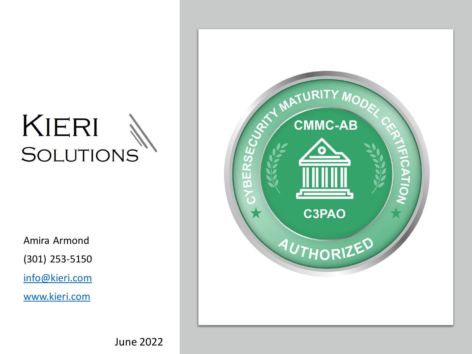### KIERI **SOLUTIONS**

Amira Armond

(301) 253-5150

[info@kieri.com](mailto:info@kieri.com)

[www.kieri.com](http://www.kieri.com/)



June 2022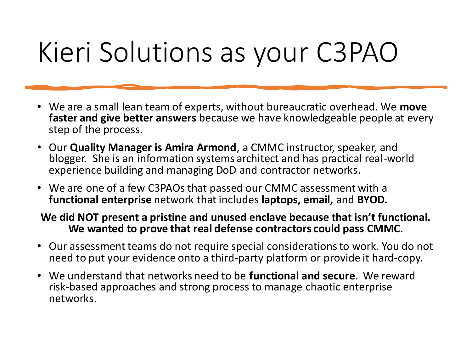## Kieri Solutions as your C3PAO

- We are a small lean team of experts, without bureaucratic overhead. We **move faster and give better answers** because we have knowledgeable people at every step of the process.
- Our **Quality Manager is Amira Armond**, a CMMC instructor, speaker, and blogger. She is an information systems architect and has practical real-world experience building and managing DoD and contractor networks.
- We are one of a few C3PAOs that passed our CMMC assessment with a **functional enterprise** network that includes **laptops, email,** and **BYOD.**

### **We did NOT present a pristine and unused enclave because that isn't functional. We wanted to prove that real defense contractors could pass CMMC**.

- Our assessment teams do not require special considerations to work. You do not need to put your evidence onto a third-party platform or provide it hard-copy.
- We understand that networks need to be **functional and secure**. We reward risk-based approaches and strong process to manage chaotic enterprise networks.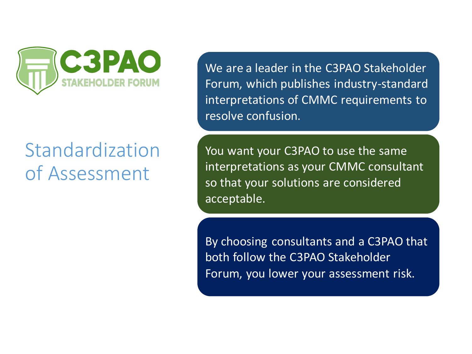

### Standardization of Assessment

We are a leader in the C3PAO Stakeholder Forum, which publishes industry-standard interpretations of CMMC requirements to resolve confusion.

You want your C3PAO to use the same interpretations as your CMMC consultant so that your solutions are considered acceptable.

By choosing consultants and a C3PAO that both follow the C3PAO Stakeholder Forum, you lower your assessment risk.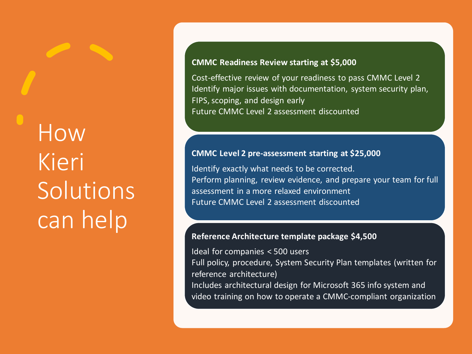# How Kieri Solutions can help

#### **CMMC Readiness Review starting at \$5,000**

Cost-effective review of your readiness to pass CMMC Level 2 Identify major issues with documentation, system security plan, FIPS, scoping, and design early Future CMMC Level 2 assessment discounted

#### **CMMC Level 2 pre-assessment starting at \$25,000**

Identify exactly what needs to be corrected. Perform planning, review evidence, and prepare your team for full assessment in a more relaxed environment Future CMMC Level 2 assessment discounted

#### **Reference Architecture template package \$4,500**

Ideal for companies < 500 users Full policy, procedure, System Security Plan templates (written for reference architecture)

Includes architectural design for Microsoft 365 info system and video training on how to operate a CMMC-compliant organization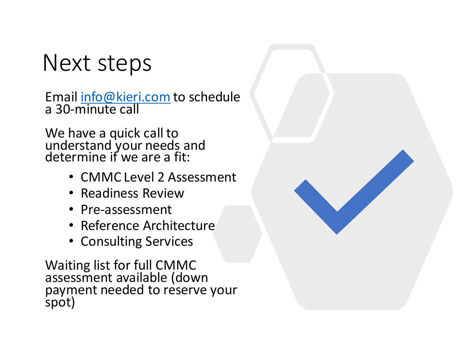### Next steps

Email [info@kieri.com](mailto:info@kieri.com) to schedule a 30-minute call

We have a quick call to understand your needs and determine if we are a fit:

- CMMC Level 2 Assessment
- Readiness Review
- Pre-assessment
- Reference Architecture
- Consulting Services

Waiting list for full CMMC assessment available (down payment needed to reserve your spot)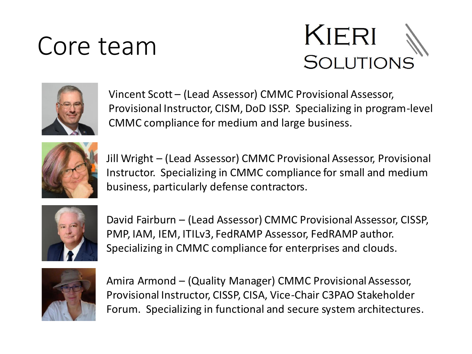### Core team





Vincent Scott – (Lead Assessor) CMMC Provisional Assessor, Provisional Instructor, CISM, DoD ISSP. Specializing in program-level CMMC compliance for medium and large business.



Jill Wright – (Lead Assessor) CMMC Provisional Assessor, Provisional Instructor. Specializing in CMMC compliance for small and medium business, particularly defense contractors.



David Fairburn – (Lead Assessor) CMMC Provisional Assessor, CISSP, PMP, IAM, IEM, ITILv3, FedRAMP Assessor, FedRAMP author. Specializing in CMMC compliance for enterprises and clouds.



Amira Armond – (Quality Manager) CMMC Provisional Assessor, Provisional Instructor, CISSP, CISA, Vice-Chair C3PAO Stakeholder Forum. Specializing in functional and secure system architectures.